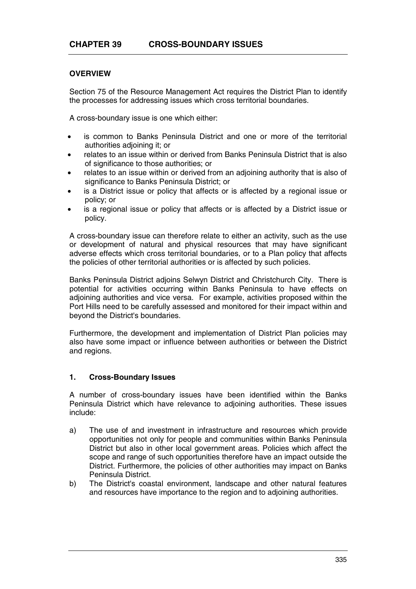## **OVERVIEW**

Section 75 of the Resource Management Act requires the District Plan to identify the processes for addressing issues which cross territorial boundaries.

A cross-boundary issue is one which either:

- is common to Banks Peninsula District and one or more of the territorial authorities adjoining it; or
- relates to an issue within or derived from Banks Peninsula District that is also of significance to those authorities; or
- relates to an issue within or derived from an adjoining authority that is also of significance to Banks Peninsula District; or
- is a District issue or policy that affects or is affected by a regional issue or policy; or
- is a regional issue or policy that affects or is affected by a District issue or policy.

A cross-boundary issue can therefore relate to either an activity, such as the use or development of natural and physical resources that may have significant adverse effects which cross territorial boundaries, or to a Plan policy that affects the policies of other territorial authorities or is affected by such policies.

Banks Peninsula District adjoins Selwyn District and Christchurch City. There is potential for activities occurring within Banks Peninsula to have effects on adjoining authorities and vice versa. For example, activities proposed within the Port Hills need to be carefully assessed and monitored for their impact within and beyond the District's boundaries.

Furthermore, the development and implementation of District Plan policies may also have some impact or influence between authorities or between the District and regions.

## **1. Cross-Boundary Issues**

A number of cross-boundary issues have been identified within the Banks Peninsula District which have relevance to adjoining authorities. These issues include:

- a) The use of and investment in infrastructure and resources which provide opportunities not only for people and communities within Banks Peninsula District but also in other local government areas. Policies which affect the scope and range of such opportunities therefore have an impact outside the District. Furthermore, the policies of other authorities may impact on Banks Peninsula District.
- b) The District's coastal environment, landscape and other natural features and resources have importance to the region and to adjoining authorities.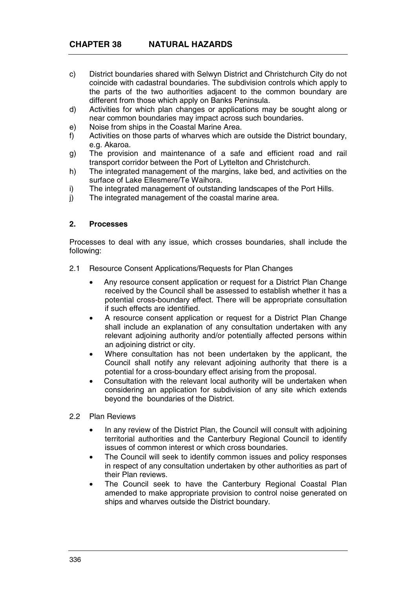- c) District boundaries shared with Selwyn District and Christchurch City do not coincide with cadastral boundaries. The subdivision controls which apply to the parts of the two authorities adjacent to the common boundary are different from those which apply on Banks Peninsula.
- d) Activities for which plan changes or applications may be sought along or near common boundaries may impact across such boundaries.
- e) Noise from ships in the Coastal Marine Area.
- f) Activities on those parts of wharves which are outside the District boundary, e.g. Akaroa.
- g) The provision and maintenance of a safe and efficient road and rail transport corridor between the Port of Lyttelton and Christchurch.
- h) The integrated management of the margins, lake bed, and activities on the surface of Lake Ellesmere/Te Waihora.
- i) The integrated management of outstanding landscapes of the Port Hills.
- j) The integrated management of the coastal marine area.

## **2. Processes**

Processes to deal with any issue, which crosses boundaries, shall include the following:

- 2.1 Resource Consent Applications/Requests for Plan Changes
	- Any resource consent application or request for a District Plan Change received by the Council shall be assessed to establish whether it has a potential cross-boundary effect. There will be appropriate consultation if such effects are identified.
	- A resource consent application or request for a District Plan Change shall include an explanation of any consultation undertaken with any relevant adjoining authority and/or potentially affected persons within an adjoining district or city.
	- Where consultation has not been undertaken by the applicant, the Council shall notify any relevant adjoining authority that there is a potential for a cross-boundary effect arising from the proposal.
	- Consultation with the relevant local authority will be undertaken when considering an application for subdivision of any site which extends beyond the boundaries of the District.
- 2.2 Plan Reviews
	- In any review of the District Plan, the Council will consult with adjoining territorial authorities and the Canterbury Regional Council to identify issues of common interest or which cross boundaries.
	- The Council will seek to identify common issues and policy responses in respect of any consultation undertaken by other authorities as part of their Plan reviews.
	- The Council seek to have the Canterbury Regional Coastal Plan amended to make appropriate provision to control noise generated on ships and wharves outside the District boundary.